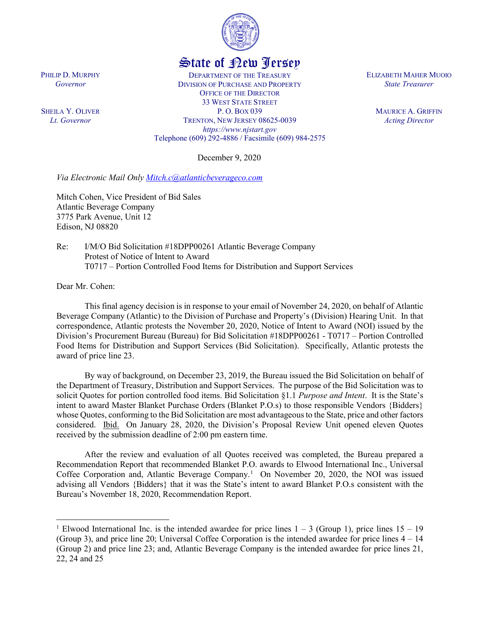

## State of New Jersey

DEPARTMENT OF THE TREASURY DIVISION OF PURCHASE AND PROPERTY OFFICE OF THE DIRECTOR 33 WEST STATE STREET P. O. BOX 039 TRENTON, NEW JERSEY 08625-0039 *https://www.njstart.gov* Telephone (609) 292-4886 / Facsimile (609) 984-2575

December 9, 2020

*Via Electronic Mail Only [Mitch.c@atlanticbeverageco.com](mailto:Mitch.c@atlanticbeverageco.com)*

Mitch Cohen, Vice President of Bid Sales Atlantic Beverage Company 3775 Park Avenue, Unit 12 Edison, NJ 08820

Re: I/M/O Bid Solicitation #18DPP00261 Atlantic Beverage Company Protest of Notice of Intent to Award T0717 – Portion Controlled Food Items for Distribution and Support Services

Dear Mr. Cohen:

 $\overline{a}$ 

This final agency decision is in response to your email of November 24, 2020, on behalf of Atlantic Beverage Company (Atlantic) to the Division of Purchase and Property's (Division) Hearing Unit. In that correspondence, Atlantic protests the November 20, 2020, Notice of Intent to Award (NOI) issued by the Division's Procurement Bureau (Bureau) for Bid Solicitation #18DPP00261 - T0717 – Portion Controlled Food Items for Distribution and Support Services (Bid Solicitation). Specifically, Atlantic protests the award of price line 23.

By way of background, on December 23, 2019, the Bureau issued the Bid Solicitation on behalf of the Department of Treasury, Distribution and Support Services. The purpose of the Bid Solicitation was to solicit Quotes for portion controlled food items. Bid Solicitation §1.1 *Purpose and Intent*. It is the State's intent to award Master Blanket Purchase Orders (Blanket P.O.s) to those responsible Vendors {Bidders} whose Quotes, conforming to the Bid Solicitation are most advantageous to the State, price and other factors considered. Ibid. On January 28, 2020, the Division's Proposal Review Unit opened eleven Quotes received by the submission deadline of 2:00 pm eastern time.

After the review and evaluation of all Quotes received was completed, the Bureau prepared a Recommendation Report that recommended Blanket P.O. awards to Elwood International Inc., Universal Coffee Corporation and, Atlantic Beverage Company. [1](#page-0-0) On November 20, 2020, the NOI was issued advising all Vendors {Bidders} that it was the State's intent to award Blanket P.O.s consistent with the Bureau's November 18, 2020, Recommendation Report.

PHILIP D. MURPHY *Governor*

SHEILA Y. OLIVER *Lt. Governor*

ELIZABETH MAHER MUOIO *State Treasurer*

> MAURICE A. GRIFFIN *Acting Director*

<span id="page-0-0"></span><sup>&</sup>lt;sup>1</sup> Elwood International Inc. is the intended awardee for price lines  $1 - 3$  (Group 1), price lines  $15 - 19$ (Group 3), and price line 20; Universal Coffee Corporation is the intended awardee for price lines 4 – 14 (Group 2) and price line 23; and, Atlantic Beverage Company is the intended awardee for price lines 21, 22, 24 and 25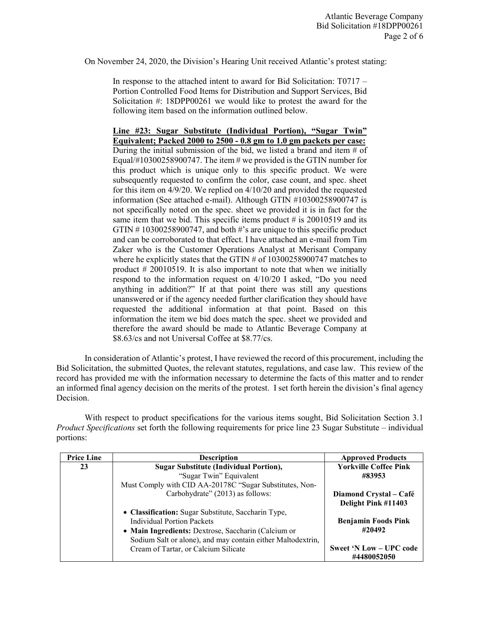On November 24, 2020, the Division's Hearing Unit received Atlantic's protest stating:

In response to the attached intent to award for Bid Solicitation: T0717 – Portion Controlled Food Items for Distribution and Support Services, Bid Solicitation #: 18DPP00261 we would like to protest the award for the following item based on the information outlined below.

**Line #23: Sugar Substitute (Individual Portion), "Sugar Twin" Equivalent; Packed 2000 to 2500 - 0.8 gm to 1.0 gm packets per case:** During the initial submission of the bid, we listed a brand and item  $#$  of Equal/#10300258900747. The item  $\#$  we provided is the GTIN number for this product which is unique only to this specific product. We were subsequently requested to confirm the color, case count, and spec. sheet for this item on 4/9/20. We replied on 4/10/20 and provided the requested information (See attached e-mail). Although GTIN #10300258900747 is not specifically noted on the spec. sheet we provided it is in fact for the same item that we bid. This specific items product  $\#$  is 20010519 and its GTIN # 10300258900747, and both #'s are unique to this specific product and can be corroborated to that effect. I have attached an e-mail from Tim Zaker who is the Customer Operations Analyst at Merisant Company where he explicitly states that the GTIN # of 10300258900747 matches to product # 20010519. It is also important to note that when we initially respond to the information request on 4/10/20 I asked, "Do you need anything in addition?" If at that point there was still any questions unanswered or if the agency needed further clarification they should have requested the additional information at that point. Based on this information the item we bid does match the spec. sheet we provided and therefore the award should be made to Atlantic Beverage Company at \$8.63/cs and not Universal Coffee at \$8.77/cs.

In consideration of Atlantic's protest, I have reviewed the record of this procurement, including the Bid Solicitation, the submitted Quotes, the relevant statutes, regulations, and case law. This review of the record has provided me with the information necessary to determine the facts of this matter and to render an informed final agency decision on the merits of the protest. I set forth herein the division's final agency Decision.

With respect to product specifications for the various items sought, Bid Solicitation Section 3.1 *Product Specifications* set forth the following requirements for price line 23 Sugar Substitute – individual portions:

| <b>Price Line</b> | <b>Description</b>                                                                                                                                                                                             | <b>Approved Products</b>                      |
|-------------------|----------------------------------------------------------------------------------------------------------------------------------------------------------------------------------------------------------------|-----------------------------------------------|
| 23                | <b>Sugar Substitute (Individual Portion),</b>                                                                                                                                                                  | <b>Yorkville Coffee Pink</b>                  |
|                   | "Sugar Twin" Equivalent                                                                                                                                                                                        | #83953                                        |
|                   | Must Comply with CID AA-20178C "Sugar Substitutes, Non-                                                                                                                                                        |                                               |
|                   | Carbohydrate" (2013) as follows:                                                                                                                                                                               | Diamond Crystal – Café<br>Delight Pink #11403 |
|                   | • Classification: Sugar Substitute, Saccharin Type,<br><b>Individual Portion Packets</b><br>• Main Ingredients: Dextrose, Saccharin (Calcium or<br>Sodium Salt or alone), and may contain either Maltodextrin, | <b>Benjamin Foods Pink</b><br>#20492          |
|                   | Cream of Tartar, or Calcium Silicate                                                                                                                                                                           | Sweet 'N Low – UPC code<br>#4480052050        |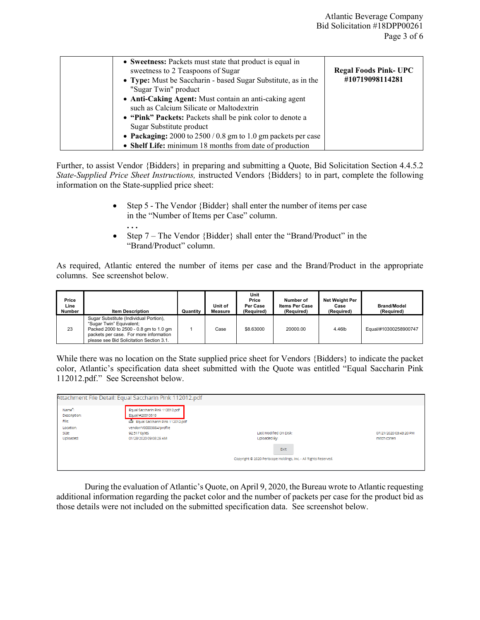| • Sweetness: Packets must state that product is equal in<br>sweetness to 2 Teaspoons of Sugar<br>• Type: Must be Saccharin - based Sugar Substitute, as in the<br>"Sugar Twin" product<br>• Anti-Caking Agent: Must contain an anti-caking agent<br>such as Calcium Silicate or Maltodextrin<br>• "Pink" Packets: Packets shall be pink color to denote a<br>Sugar Substitute product<br>• Packaging: $2000$ to $2500/0.8$ gm to 1.0 gm packets per case | <b>Regal Foods Pink- UPC</b><br>#10719098114281 |
|----------------------------------------------------------------------------------------------------------------------------------------------------------------------------------------------------------------------------------------------------------------------------------------------------------------------------------------------------------------------------------------------------------------------------------------------------------|-------------------------------------------------|
| • Shelf Life: minimum 18 months from date of production                                                                                                                                                                                                                                                                                                                                                                                                  |                                                 |

Further, to assist Vendor {Bidders} in preparing and submitting a Quote, Bid Solicitation Section 4.4.5.2 *State-Supplied Price Sheet Instructions,* instructed Vendors {Bidders} to in part, complete the following information on the State-supplied price sheet:

> • Step 5 - The Vendor {Bidder} shall enter the number of items per case in the "Number of Items per Case" column.

**. . .** 

• Step 7 – The Vendor {Bidder} shall enter the "Brand/Product" in the "Brand/Product" column.

As required, Atlantic entered the number of items per case and the Brand/Product in the appropriate columns. See screenshot below.

| Price<br>Line<br><b>Number</b> | <b>Item Description</b>                                                                                                                                                                            | Quantity | Unit of<br>Measure | Unit<br>Price<br>Per Case<br>(Required) | Number of<br><b>Items Per Case</b><br>(Required) | Net Weight Per<br>Case<br>(Required) | <b>Brand/Model</b><br>(Required) |
|--------------------------------|----------------------------------------------------------------------------------------------------------------------------------------------------------------------------------------------------|----------|--------------------|-----------------------------------------|--------------------------------------------------|--------------------------------------|----------------------------------|
| 23                             | Sugar Substitute (Individual Portion),<br>"Sugar Twin" Equivalent;<br>Packed 2000 to 2500 - 0.8 gm to 1.0 gm<br>packets per case. For more information<br>please see Bid Solicitation Section 3.1. |          | Case               | \$8,63000                               | 20000.00                                         | 4.46lb                               | Equal/#10300258900747            |

While there was no location on the State supplied price sheet for Vendors {Bidders} to indicate the packet color, Atlantic's specification data sheet submitted with the Quote was entitled "Equal Saccharin Pink 112012.pdf." See Screenshot below.

|                                 | Attachment File Detail: Equal Saccharin Pink 112012.pdf                               |                                                                          |                                       |
|---------------------------------|---------------------------------------------------------------------------------------|--------------------------------------------------------------------------|---------------------------------------|
| Name:<br>Description:<br>File:  | Equal Saccharin Pink 112012.pdf<br>Equal/#20010519<br>Equal Saccharin Pink 112012.pdf |                                                                          |                                       |
| Location:<br>Size:<br>Uploaded: | vendor/V00003884/profile<br>92,517 bytes<br>01/28/2020 09:08:29 AM                    | Last Modified On Disk:<br>Uploaded By:                                   | 07/21/2020 03:43:20 PM<br>mitch cohen |
|                                 |                                                                                       | Exit<br>Copyright @ 2020 Periscope Holdings, Inc. - All Rights Reserved. |                                       |
|                                 |                                                                                       |                                                                          |                                       |

During the evaluation of Atlantic's Quote, on April 9, 2020, the Bureau wrote to Atlantic requesting additional information regarding the packet color and the number of packets per case for the product bid as those details were not included on the submitted specification data. See screenshot below.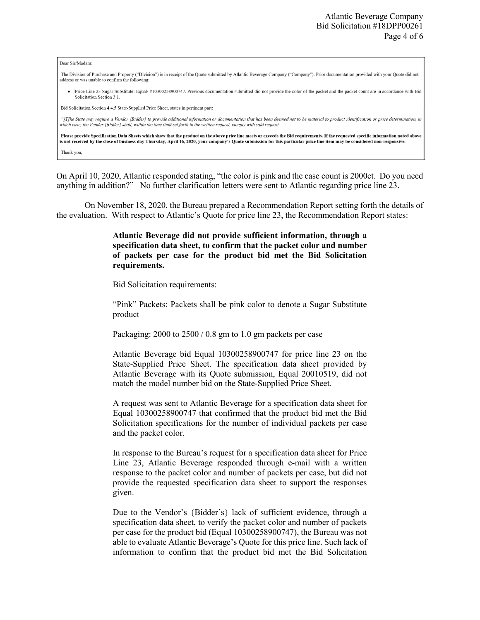| Dear Sir/Madam:                                                                                                                                                                                                                                                                                                                                                       |
|-----------------------------------------------------------------------------------------------------------------------------------------------------------------------------------------------------------------------------------------------------------------------------------------------------------------------------------------------------------------------|
| The Division of Purchase and Property ("Division") is in receipt of the Quote submitted by Atlantic Beverage Company ("Company"). Prior documentation provided with your Quote did not<br>address or was unable to confirm the following:                                                                                                                             |
| Price Line 23 Sugar Substitute: Equal/ #10300258900747. Previous documentation submitted did not provide the color of the packet and the packet count are in accordance with Bid<br>Solicitation Section 3.1.                                                                                                                                                         |
| Bid Solicitation Section 4.4.5 State-Supplied Price Sheet, states in pertinent part:                                                                                                                                                                                                                                                                                  |
| "[T]he State may require a Vendor {Bidder} to provide additional information or documentation that has been deemed not to be material to product identification or price determination, in<br>which case, the Vendor {Bidder} shall, within the time limit set forth in the written request, comply with said request.                                                |
| Please provide Specification Data Sheets which show that the product on the above price line meets or exceeds the Bid requirements. If the requested specific information noted above<br>is not received by the close of business day Thursday, April 16, 2020, your company's Quote submission for this particular price line item may be considered non-responsive. |
| Thank you,                                                                                                                                                                                                                                                                                                                                                            |

On April 10, 2020, Atlantic responded stating, "the color is pink and the case count is 2000ct. Do you need anything in addition?" No further clarification letters were sent to Atlantic regarding price line 23.

On November 18, 2020, the Bureau prepared a Recommendation Report setting forth the details of the evaluation. With respect to Atlantic's Quote for price line 23, the Recommendation Report states:

> **Atlantic Beverage did not provide sufficient information, through a specification data sheet, to confirm that the packet color and number of packets per case for the product bid met the Bid Solicitation requirements.**

Bid Solicitation requirements:

"Pink" Packets: Packets shall be pink color to denote a Sugar Substitute product

Packaging: 2000 to 2500 / 0.8 gm to 1.0 gm packets per case

Atlantic Beverage bid Equal 10300258900747 for price line 23 on the State-Supplied Price Sheet. The specification data sheet provided by Atlantic Beverage with its Quote submission, Equal 20010519, did not match the model number bid on the State-Supplied Price Sheet.

A request was sent to Atlantic Beverage for a specification data sheet for Equal 10300258900747 that confirmed that the product bid met the Bid Solicitation specifications for the number of individual packets per case and the packet color.

In response to the Bureau's request for a specification data sheet for Price Line 23, Atlantic Beverage responded through e-mail with a written response to the packet color and number of packets per case, but did not provide the requested specification data sheet to support the responses given.

Due to the Vendor's {Bidder's} lack of sufficient evidence, through a specification data sheet, to verify the packet color and number of packets per case for the product bid (Equal 10300258900747), the Bureau was not able to evaluate Atlantic Beverage's Quote for this price line. Such lack of information to confirm that the product bid met the Bid Solicitation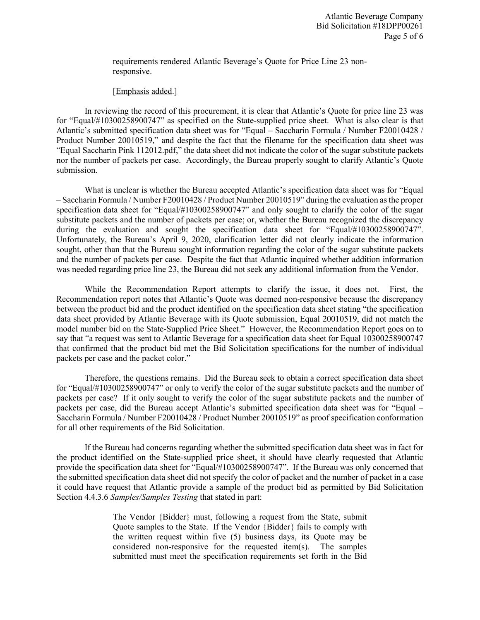requirements rendered Atlantic Beverage's Quote for Price Line 23 nonresponsive.

## [Emphasis added.]

In reviewing the record of this procurement, it is clear that Atlantic's Quote for price line 23 was for "Equal/#10300258900747" as specified on the State-supplied price sheet. What is also clear is that Atlantic's submitted specification data sheet was for "Equal – Saccharin Formula / Number F20010428 / Product Number 20010519," and despite the fact that the filename for the specification data sheet was "Equal Saccharin Pink 112012.pdf," the data sheet did not indicate the color of the sugar substitute packets nor the number of packets per case. Accordingly, the Bureau properly sought to clarify Atlantic's Quote submission.

What is unclear is whether the Bureau accepted Atlantic's specification data sheet was for "Equal – Saccharin Formula / Number F20010428 / Product Number 20010519" during the evaluation as the proper specification data sheet for "Equal/#10300258900747" and only sought to clarify the color of the sugar substitute packets and the number of packets per case; or, whether the Bureau recognized the discrepancy during the evaluation and sought the specification data sheet for "Equal/#10300258900747". Unfortunately, the Bureau's April 9, 2020, clarification letter did not clearly indicate the information sought, other than that the Bureau sought information regarding the color of the sugar substitute packets and the number of packets per case. Despite the fact that Atlantic inquired whether addition information was needed regarding price line 23, the Bureau did not seek any additional information from the Vendor.

While the Recommendation Report attempts to clarify the issue, it does not. First, the Recommendation report notes that Atlantic's Quote was deemed non-responsive because the discrepancy between the product bid and the product identified on the specification data sheet stating "the specification data sheet provided by Atlantic Beverage with its Quote submission, Equal 20010519, did not match the model number bid on the State-Supplied Price Sheet." However, the Recommendation Report goes on to say that "a request was sent to Atlantic Beverage for a specification data sheet for Equal 10300258900747 that confirmed that the product bid met the Bid Solicitation specifications for the number of individual packets per case and the packet color."

Therefore, the questions remains. Did the Bureau seek to obtain a correct specification data sheet for "Equal/#10300258900747" or only to verify the color of the sugar substitute packets and the number of packets per case? If it only sought to verify the color of the sugar substitute packets and the number of packets per case, did the Bureau accept Atlantic's submitted specification data sheet was for "Equal – Saccharin Formula / Number F20010428 / Product Number 20010519" as proof specification conformation for all other requirements of the Bid Solicitation.

If the Bureau had concerns regarding whether the submitted specification data sheet was in fact for the product identified on the State-supplied price sheet, it should have clearly requested that Atlantic provide the specification data sheet for "Equal/#10300258900747". If the Bureau was only concerned that the submitted specification data sheet did not specify the color of packet and the number of packet in a case it could have request that Atlantic provide a sample of the product bid as permitted by Bid Solicitation Section 4.4.3.6 *Samples/Samples Testing* that stated in part:

> The Vendor {Bidder} must, following a request from the State, submit Quote samples to the State. If the Vendor {Bidder} fails to comply with the written request within five (5) business days, its Quote may be considered non-responsive for the requested item(s). The samples submitted must meet the specification requirements set forth in the Bid